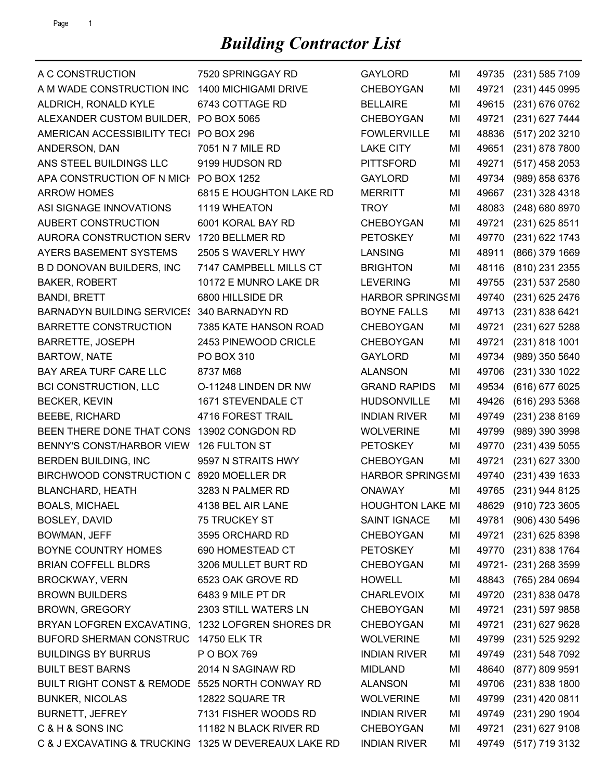| A C CONSTRUCTION                                     | 7520 SPRINGGAY RD       | <b>GAYLORD</b>          | MI | 49735 | $(231)$ 585 7109      |
|------------------------------------------------------|-------------------------|-------------------------|----|-------|-----------------------|
| A M WADE CONSTRUCTION INC                            | 1400 MICHIGAMI DRIVE    | <b>CHEBOYGAN</b>        | MI | 49721 | (231) 445 0995        |
| ALDRICH, RONALD KYLE                                 | 6743 COTTAGE RD         | <b>BELLAIRE</b>         | MI | 49615 | (231) 676 0762        |
| ALEXANDER CUSTOM BUILDER, PO BOX 5065                |                         | <b>CHEBOYGAN</b>        | MI | 49721 | (231) 627 7444        |
| AMERICAN ACCESSIBILITY TECI PO BOX 296               |                         | <b>FOWLERVILLE</b>      | ΜI | 48836 | (517) 202 3210        |
| ANDERSON, DAN                                        | 7051 N 7 MILE RD        | <b>LAKE CITY</b>        | MI | 49651 | (231) 878 7800        |
| ANS STEEL BUILDINGS LLC                              | 9199 HUDSON RD          | <b>PITTSFORD</b>        | MI | 49271 | (517) 458 2053        |
| APA CONSTRUCTION OF N MICH PO BOX 1252               |                         | <b>GAYLORD</b>          | ΜI | 49734 | (989) 858 6376        |
| <b>ARROW HOMES</b>                                   | 6815 E HOUGHTON LAKE RD | <b>MERRITT</b>          | MI | 49667 | (231) 328 4318        |
| ASI SIGNAGE INNOVATIONS                              | 1119 WHEATON            | <b>TROY</b>             | MI | 48083 | (248) 680 8970        |
| AUBERT CONSTRUCTION                                  | 6001 KORAL BAY RD       | <b>CHEBOYGAN</b>        | MI | 49721 | (231) 625 8511        |
| AURORA CONSTRUCTION SERV                             | 1720 BELLMER RD         | <b>PETOSKEY</b>         | ΜI | 49770 | (231) 622 1743        |
| AYERS BASEMENT SYSTEMS                               | 2505 S WAVERLY HWY      | <b>LANSING</b>          | ΜI | 48911 | (866) 379 1669        |
| B D DONOVAN BUILDERS, INC                            | 7147 CAMPBELL MILLS CT  | <b>BRIGHTON</b>         | MI | 48116 | (810) 231 2355        |
| <b>BAKER, ROBERT</b>                                 | 10172 E MUNRO LAKE DR   | <b>LEVERING</b>         | MI | 49755 | (231) 537 2580        |
| <b>BANDI, BRETT</b>                                  | 6800 HILLSIDE DR        | <b>HARBOR SPRINGSMI</b> |    | 49740 | (231) 625 2476        |
| BARNADYN BUILDING SERVICE: 340 BARNADYN RD           |                         | <b>BOYNE FALLS</b>      | ΜI | 49713 | (231) 838 6421        |
| <b>BARRETTE CONSTRUCTION</b>                         | 7385 KATE HANSON ROAD   | <b>CHEBOYGAN</b>        | MI | 49721 | (231) 627 5288        |
| <b>BARRETTE, JOSEPH</b>                              | 2453 PINEWOOD CRICLE    | CHEBOYGAN               | MI | 49721 | (231) 818 1001        |
| <b>BARTOW, NATE</b>                                  | PO BOX 310              | <b>GAYLORD</b>          | MI | 49734 | (989) 350 5640        |
| BAY AREA TURF CARE LLC                               | 8737 M68                | <b>ALANSON</b>          | MI | 49706 | (231) 330 1022        |
| <b>BCI CONSTRUCTION, LLC</b>                         | O-11248 LINDEN DR NW    | <b>GRAND RAPIDS</b>     | MI | 49534 | (616) 677 6025        |
| <b>BECKER, KEVIN</b>                                 | 1671 STEVENDALE CT      | <b>HUDSONVILLE</b>      | MI | 49426 | (616) 293 5368        |
| <b>BEEBE, RICHARD</b>                                | 4716 FOREST TRAIL       | <b>INDIAN RIVER</b>     | MI | 49749 | $(231)$ 238 8169      |
| BEEN THERE DONE THAT CONS                            | 13902 CONGDON RD        | <b>WOLVERINE</b>        | MI | 49799 | (989) 390 3998        |
| BENNY'S CONST/HARBOR VIEW                            | 126 FULTON ST           | <b>PETOSKEY</b>         | MI | 49770 | $(231)$ 439 5055      |
| BERDEN BUILDING, INC                                 | 9597 N STRAITS HWY      | <b>CHEBOYGAN</b>        | MI | 49721 | (231) 627 3300        |
| BIRCHWOOD CONSTRUCTION C 8920 MOELLER DR             |                         | <b>HARBOR SPRINGSMI</b> |    | 49740 | (231) 439 1633        |
| <b>BLANCHARD, HEATH</b>                              | 3283 N PALMER RD        | <b>ONAWAY</b>           | MI | 49765 | (231) 944 8125        |
| <b>BOALS, MICHAEL</b>                                | 4138 BEL AIR LANE       | <b>HOUGHTON LAKE MI</b> |    |       | 48629 (910) 723 3605  |
| BOSLEY, DAVID                                        | 75 TRUCKEY ST           | <b>SAINT IGNACE</b>     | MI |       | 49781 (906) 430 5496  |
| BOWMAN, JEFF                                         | 3595 ORCHARD RD         | <b>CHEBOYGAN</b>        | MI | 49721 | (231) 625 8398        |
| BOYNE COUNTRY HOMES                                  | 690 HOMESTEAD CT        | <b>PETOSKEY</b>         | MI |       | 49770 (231) 838 1764  |
| <b>BRIAN COFFELL BLDRS</b>                           | 3206 MULLET BURT RD     | CHEBOYGAN               | MI |       | 49721- (231) 268 3599 |
| <b>BROCKWAY, VERN</b>                                | 6523 OAK GROVE RD       | <b>HOWELL</b>           | MI | 48843 | (765) 284 0694        |
| <b>BROWN BUILDERS</b>                                | 6483 9 MILE PT DR       | <b>CHARLEVOIX</b>       | MI |       | 49720 (231) 838 0478  |
| <b>BROWN, GREGORY</b>                                | 2303 STILL WATERS LN    | <b>CHEBOYGAN</b>        | MI | 49721 | (231) 597 9858        |
| BRYAN LOFGREN EXCAVATING, 1232 LOFGREN SHORES DR     |                         | <b>CHEBOYGAN</b>        | MI | 49721 | (231) 627 9628        |
| BUFORD SHERMAN CONSTRUC                              | 14750 ELK TR            | <b>WOLVERINE</b>        | MI | 49799 | (231) 525 9292        |
| <b>BUILDINGS BY BURRUS</b>                           | P O BOX 769             | <b>INDIAN RIVER</b>     | MI |       | 49749 (231) 548 7092  |
| <b>BUILT BEST BARNS</b>                              | 2014 N SAGINAW RD       | <b>MIDLAND</b>          | MI | 48640 | (877) 809 9591        |
| BUILT RIGHT CONST & REMODE 5525 NORTH CONWAY RD      |                         | <b>ALANSON</b>          | MI |       | 49706 (231) 838 1800  |
| <b>BUNKER, NICOLAS</b>                               | 12822 SQUARE TR         | <b>WOLVERINE</b>        | MI | 49799 | (231) 420 0811        |
| <b>BURNETT, JEFREY</b>                               | 7131 FISHER WOODS RD    | <b>INDIAN RIVER</b>     | MI |       | 49749 (231) 290 1904  |
| C & H & SONS INC                                     | 11182 N BLACK RIVER RD  | CHEBOYGAN               | MI | 49721 | $(231)$ 627 9108      |
| C & J EXCAVATING & TRUCKING 1325 W DEVEREAUX LAKE RD |                         | <b>INDIAN RIVER</b>     | MI |       | 49749 (517) 719 3132  |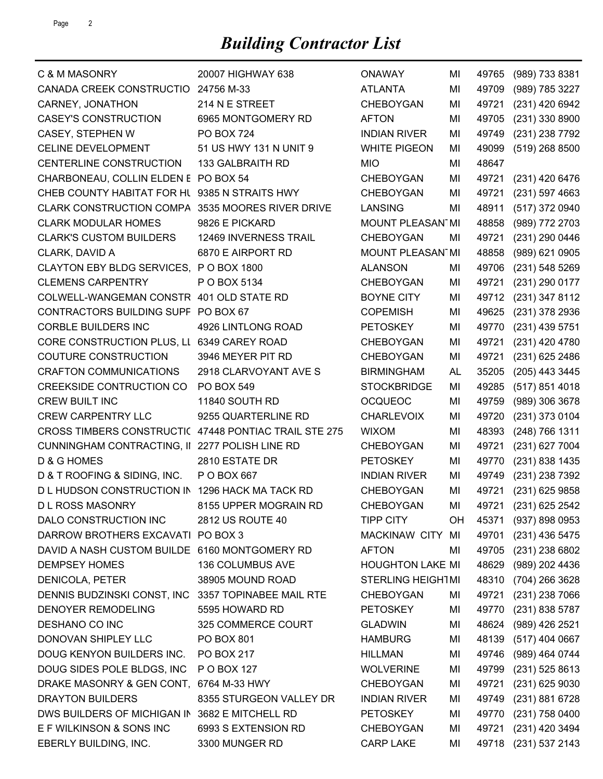| C & M MASONRY                                        | 20007 HIGHWAY 638       | <b>ONAWAY</b>            | МI        | 49765 | (989) 733 8381       |
|------------------------------------------------------|-------------------------|--------------------------|-----------|-------|----------------------|
| CANADA CREEK CONSTRUCTIO 24756 M-33                  |                         | <b>ATLANTA</b>           | ΜI        | 49709 | (989) 785 3227       |
| CARNEY, JONATHON                                     | 214 N E STREET          | <b>CHEBOYGAN</b>         | MI        | 49721 | (231) 420 6942       |
| <b>CASEY'S CONSTRUCTION</b>                          | 6965 MONTGOMERY RD      | <b>AFTON</b>             | MI        | 49705 | (231) 330 8900       |
| <b>CASEY, STEPHEN W</b>                              | <b>PO BOX 724</b>       | <b>INDIAN RIVER</b>      | MI        | 49749 | (231) 238 7792       |
| <b>CELINE DEVELOPMENT</b>                            | 51 US HWY 131 N UNIT 9  | <b>WHITE PIGEON</b>      | MI        | 49099 | $(519)$ 268 8500     |
| CENTERLINE CONSTRUCTION                              | 133 GALBRAITH RD        | <b>MIO</b>               | MI        | 48647 |                      |
| CHARBONEAU, COLLIN ELDEN E PO BOX 54                 |                         | <b>CHEBOYGAN</b>         | MI        | 49721 | (231) 420 6476       |
| CHEB COUNTY HABITAT FOR HU 9385 N STRAITS HWY        |                         | <b>CHEBOYGAN</b>         | MI        | 49721 | (231) 597 4663       |
| <b>CLARK CONSTRUCTION COMPA</b>                      | 3535 MOORES RIVER DRIVE | <b>LANSING</b>           | MI        | 48911 | (517) 372 0940       |
| <b>CLARK MODULAR HOMES</b>                           | 9826 E PICKARD          | MOUNT PLEASAN1MI         |           | 48858 | (989) 772 2703       |
| <b>CLARK'S CUSTOM BUILDERS</b>                       | 12469 INVERNESS TRAIL   | <b>CHEBOYGAN</b>         | MI        | 49721 | (231) 290 0446       |
| CLARK, DAVID A                                       | 6870 E AIRPORT RD       | MOUNT PLEASAN MI         |           | 48858 | (989) 621 0905       |
| CLAYTON EBY BLDG SERVICES, P O BOX 1800              |                         | <b>ALANSON</b>           | MI        | 49706 | (231) 548 5269       |
| <b>CLEMENS CARPENTRY</b>                             | P O BOX 5134            | <b>CHEBOYGAN</b>         | MI        | 49721 | (231) 290 0177       |
| COLWELL-WANGEMAN CONSTR 401 OLD STATE RD             |                         | <b>BOYNE CITY</b>        | MI        | 49712 | (231) 347 8112       |
| CONTRACTORS BUILDING SUPF PO BOX 67                  |                         | <b>COPEMISH</b>          | MI        | 49625 | (231) 378 2936       |
| <b>CORBLE BUILDERS INC</b>                           | 4926 LINTLONG ROAD      | <b>PETOSKEY</b>          | MI        | 49770 | $(231)$ 439 5751     |
| CORE CONSTRUCTION PLUS, LI 6349 CAREY ROAD           |                         | <b>CHEBOYGAN</b>         | MI        | 49721 | (231) 420 4780       |
| <b>COUTURE CONSTRUCTION</b>                          | 3946 MEYER PIT RD       | CHEBOYGAN                | MI        | 49721 | (231) 625 2486       |
| <b>CRAFTON COMMUNICATIONS</b>                        | 2918 CLARVOYANT AVE S   | <b>BIRMINGHAM</b>        | <b>AL</b> | 35205 | (205) 443 3445       |
| <b>CREEKSIDE CONTRUCTION CO</b>                      | <b>PO BOX 549</b>       | <b>STOCKBRIDGE</b>       | MI        | 49285 | (517) 851 4018       |
| CREW BUILT INC                                       | 11840 SOUTH RD          | <b>OCQUEOC</b>           | MI        | 49759 | (989) 306 3678       |
| <b>CREW CARPENTRY LLC</b>                            | 9255 QUARTERLINE RD     | <b>CHARLEVOIX</b>        | MI        | 49720 | (231) 373 0104       |
| CROSS TIMBERS CONSTRUCTI(47448 PONTIAC TRAIL STE 275 |                         | <b>WIXOM</b>             | MI        | 48393 | (248) 766 1311       |
| CUNNINGHAM CONTRACTING, II 2277 POLISH LINE RD       |                         | <b>CHEBOYGAN</b>         | MI        | 49721 | (231) 627 7004       |
| D & G HOMES                                          | 2810 ESTATE DR          | <b>PETOSKEY</b>          | MI        | 49770 | (231) 838 1435       |
| D & T ROOFING & SIDING, INC.                         | P O BOX 667             | <b>INDIAN RIVER</b>      | MI        | 49749 | (231) 238 7392       |
| D L HUDSON CONSTRUCTION IN 1296 HACK MA TACK RD      |                         | <b>CHEBOYGAN</b>         | MI        | 49721 | (231) 625 9858       |
| <b>DL ROSS MASONRY</b>                               | 8155 UPPER MOGRAIN RD   | CHEBOYGAN                | MI        |       | 49721 (231) 625 2542 |
| DALO CONSTRUCTION INC                                | 2812 US ROUTE 40        | TIPP CITY                | OH.       |       | 45371 (937) 898 0953 |
| DARROW BROTHERS EXCAVATI PO BOX 3                    |                         | MACKINAW CITY MI         |           | 49701 | (231) 436 5475       |
| DAVID A NASH CUSTOM BUILDE 6160 MONTGOMERY RD        |                         | <b>AFTON</b>             | MI        |       | 49705 (231) 238 6802 |
| <b>DEMPSEY HOMES</b>                                 | 136 COLUMBUS AVE        | <b>HOUGHTON LAKE MI</b>  |           | 48629 | (989) 202 4436       |
| DENICOLA, PETER                                      | 38905 MOUND ROAD        | <b>STERLING HEIGHTMI</b> |           | 48310 | (704) 266 3628       |
| DENNIS BUDZINSKI CONST, INC                          | 3357 TOPINABEE MAIL RTE | CHEBOYGAN                | MI        | 49721 | (231) 238 7066       |
| <b>DENOYER REMODELING</b>                            | 5595 HOWARD RD          | <b>PETOSKEY</b>          | MI        |       | 49770 (231) 838 5787 |
| DESHANO CO INC                                       | 325 COMMERCE COURT      | <b>GLADWIN</b>           | MI        | 48624 | (989) 426 2521       |
| DONOVAN SHIPLEY LLC                                  | PO BOX 801              | <b>HAMBURG</b>           | MI        | 48139 | $(517)$ 404 0667     |
| DOUG KENYON BUILDERS INC.                            | PO BOX 217              | <b>HILLMAN</b>           | MI        | 49746 | (989) 464 0744       |
| DOUG SIDES POLE BLDGS, INC                           | P O BOX 127             | <b>WOLVERINE</b>         | MI        |       | 49799 (231) 525 8613 |
| DRAKE MASONRY & GEN CONT, 6764 M-33 HWY              |                         | <b>CHEBOYGAN</b>         | MI        | 49721 | $(231)$ 625 9030     |
| DRAYTON BUILDERS                                     | 8355 STURGEON VALLEY DR | <b>INDIAN RIVER</b>      | MI        | 49749 | (231) 881 6728       |
| DWS BUILDERS OF MICHIGAN IN 3682 E MITCHELL RD       |                         | <b>PETOSKEY</b>          | ΜI        |       | 49770 (231) 758 0400 |
| E F WILKINSON & SONS INC                             | 6993 S EXTENSION RD     | <b>CHEBOYGAN</b>         | MI        | 49721 | (231) 420 3494       |
| EBERLY BUILDING, INC.                                | 3300 MUNGER RD          | <b>CARP LAKE</b>         | MI        |       | 49718 (231) 537 2143 |
|                                                      |                         |                          |           |       |                      |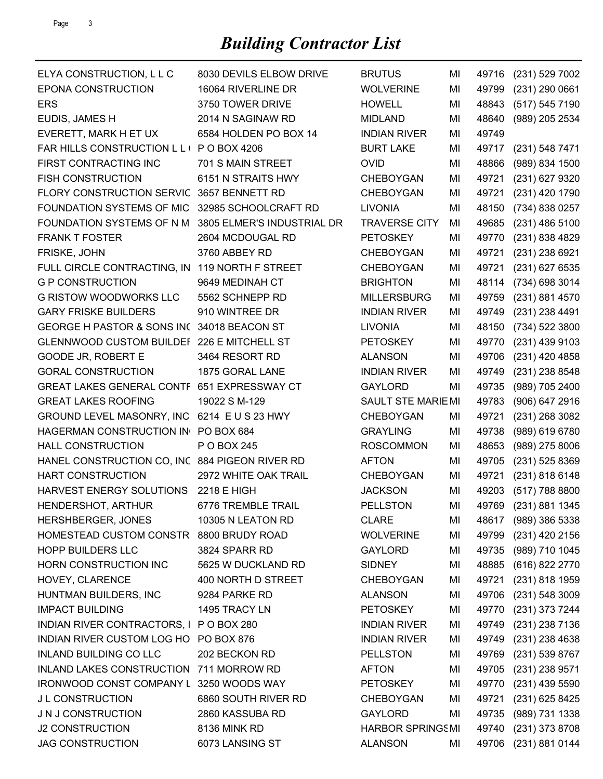## *Building Contractor List*

| ELYA CONSTRUCTION, L L C                       | 8030 DEVILS ELBOW DRIVE    | <b>BRUTUS</b>           | MI | 49716 | (231) 529 7002       |
|------------------------------------------------|----------------------------|-------------------------|----|-------|----------------------|
| EPONA CONSTRUCTION                             | 16064 RIVERLINE DR         | <b>WOLVERINE</b>        | MI | 49799 | $(231)$ 290 0661     |
| <b>ERS</b>                                     | 3750 TOWER DRIVE           | <b>HOWELL</b>           | MI | 48843 | (517) 545 7190       |
| EUDIS, JAMES H                                 | 2014 N SAGINAW RD          | <b>MIDLAND</b>          | MI | 48640 | (989) 205 2534       |
| EVERETT, MARK H ET UX                          | 6584 HOLDEN PO BOX 14      | <b>INDIAN RIVER</b>     | MI | 49749 |                      |
| FAR HILLS CONSTRUCTION L L ( P O BOX 4206      |                            | <b>BURT LAKE</b>        | MI | 49717 | (231) 548 7471       |
| FIRST CONTRACTING INC                          | 701 S MAIN STREET          | <b>OVID</b>             | MI | 48866 | (989) 834 1500       |
| <b>FISH CONSTRUCTION</b>                       | 6151 N STRAITS HWY         | <b>CHEBOYGAN</b>        | MI | 49721 | (231) 627 9320       |
| FLORY CONSTRUCTION SERVIC                      | 3657 BENNETT RD            | <b>CHEBOYGAN</b>        | MI | 49721 | (231) 420 1790       |
| FOUNDATION SYSTEMS OF MIC                      | 32985 SCHOOLCRAFT RD       | <b>LIVONIA</b>          | MI | 48150 | (734) 838 0257       |
| FOUNDATION SYSTEMS OF N M                      | 3805 ELMER'S INDUSTRIAL DR | <b>TRAVERSE CITY</b>    | MI | 49685 | $(231)$ 486 5100     |
| <b>FRANK T FOSTER</b>                          | 2604 MCDOUGAL RD           | <b>PETOSKEY</b>         | MI | 49770 | (231) 838 4829       |
| FRISKE, JOHN                                   | 3760 ABBEY RD              | <b>CHEBOYGAN</b>        | MI | 49721 | (231) 238 6921       |
| FULL CIRCLE CONTRACTING, IN                    | 119 NORTH F STREET         | <b>CHEBOYGAN</b>        | MI | 49721 | (231) 627 6535       |
| <b>G P CONSTRUCTION</b>                        | 9649 MEDINAH CT            | <b>BRIGHTON</b>         | MI | 48114 | (734) 698 3014       |
| <b>G RISTOW WOODWORKS LLC</b>                  | 5562 SCHNEPP RD            | <b>MILLERSBURG</b>      | MI | 49759 | (231) 881 4570       |
| <b>GARY FRISKE BUILDERS</b>                    | 910 WINTREE DR             | <b>INDIAN RIVER</b>     | MI | 49749 | (231) 238 4491       |
| GEORGE H PASTOR & SONS INC 34018 BEACON ST     |                            | <b>LIVONIA</b>          | MI | 48150 | (734) 522 3800       |
| GLENNWOOD CUSTOM BUILDEF 226 E MITCHELL ST     |                            | <b>PETOSKEY</b>         | MI | 49770 | (231) 439 9103       |
| GOODE JR, ROBERT E                             | 3464 RESORT RD             | <b>ALANSON</b>          | MI | 49706 | (231) 420 4858       |
| <b>GORAL CONSTRUCTION</b>                      | 1875 GORAL LANE            | <b>INDIAN RIVER</b>     | MI | 49749 | (231) 238 8548       |
| GREAT LAKES GENERAL CONTF 651 EXPRESSWAY CT    |                            | <b>GAYLORD</b>          | MI | 49735 | (989) 705 2400       |
| <b>GREAT LAKES ROOFING</b>                     | 19022 S M-129              | SAULT STE MARIEMI       |    | 49783 | (906) 647 2916       |
| GROUND LEVEL MASONRY, INC 6214 E U S 23 HWY    |                            | <b>CHEBOYGAN</b>        | MI | 49721 | (231) 268 3082       |
| HAGERMAN CONSTRUCTION IN PO BOX 684            |                            | <b>GRAYLING</b>         | MI | 49738 | (989) 619 6780       |
| <b>HALL CONSTRUCTION</b>                       | P O BOX 245                | <b>ROSCOMMON</b>        | MI | 48653 | (989) 275 8006       |
| HANEL CONSTRUCTION CO, INC 884 PIGEON RIVER RD |                            | <b>AFTON</b>            | MI | 49705 | $(231)$ 525 8369     |
| <b>HART CONSTRUCTION</b>                       | 2972 WHITE OAK TRAIL       | <b>CHEBOYGAN</b>        | MI | 49721 | (231) 818 6148       |
| HARVEST ENERGY SOLUTIONS                       | 2218 E HIGH                | <b>JACKSON</b>          | MI | 49203 | (517) 788 8800       |
| HENDERSHOT, ARTHUR                             | 6776 TREMBLE TRAIL         | <b>PELLSTON</b>         | MI |       | 49769 (231) 881 1345 |
| HERSHBERGER, JONES                             | 10305 N LEATON RD          | <b>CLARE</b>            | MI | 48617 | (989) 386 5338       |
| HOMESTEAD CUSTOM CONSTR                        | 8800 BRUDY ROAD            | <b>WOLVERINE</b>        | MI | 49799 | (231) 420 2156       |
| <b>HOPP BUILDERS LLC</b>                       | 3824 SPARR RD              | <b>GAYLORD</b>          | MI | 49735 | (989) 710 1045       |
| HORN CONSTRUCTION INC                          | 5625 W DUCKLAND RD         | <b>SIDNEY</b>           | MI | 48885 | (616) 822 2770       |
| HOVEY, CLARENCE                                | 400 NORTH D STREET         | <b>CHEBOYGAN</b>        | MI | 49721 | (231) 818 1959       |
| HUNTMAN BUILDERS, INC                          | 9284 PARKE RD              | <b>ALANSON</b>          | MI | 49706 | (231) 548 3009       |
| <b>IMPACT BUILDING</b>                         | 1495 TRACY LN              | <b>PETOSKEY</b>         | MI | 49770 | (231) 373 7244       |
| INDIAN RIVER CONTRACTORS, I PO BOX 280         |                            | <b>INDIAN RIVER</b>     | MI | 49749 | (231) 238 7136       |
| INDIAN RIVER CUSTOM LOG HO                     | PO BOX 876                 | <b>INDIAN RIVER</b>     | MI | 49749 | (231) 238 4638       |
| <b>INLAND BUILDING CO LLC</b>                  | 202 BECKON RD              | <b>PELLSTON</b>         | MI | 49769 | (231) 539 8767       |
| INLAND LAKES CONSTRUCTION 711 MORROW RD        |                            | <b>AFTON</b>            | MI | 49705 | (231) 238 9571       |
| IRONWOOD CONST COMPANY L 3250 WOODS WAY        |                            | <b>PETOSKEY</b>         | MI | 49770 | (231) 439 5590       |
| J L CONSTRUCTION                               | 6860 SOUTH RIVER RD        | CHEBOYGAN               | MI | 49721 | (231) 625 8425       |
| J N J CONSTRUCTION                             | 2860 KASSUBA RD            | <b>GAYLORD</b>          | MI | 49735 | (989) 731 1338       |
| <b>J2 CONSTRUCTION</b>                         | 8136 MINK RD               | <b>HARBOR SPRINGSMI</b> |    | 49740 | (231) 373 8708       |
|                                                |                            |                         |    |       |                      |
| <b>JAG CONSTRUCTION</b>                        | 6073 LANSING ST            | <b>ALANSON</b>          | MI | 49706 | (231) 881 0144       |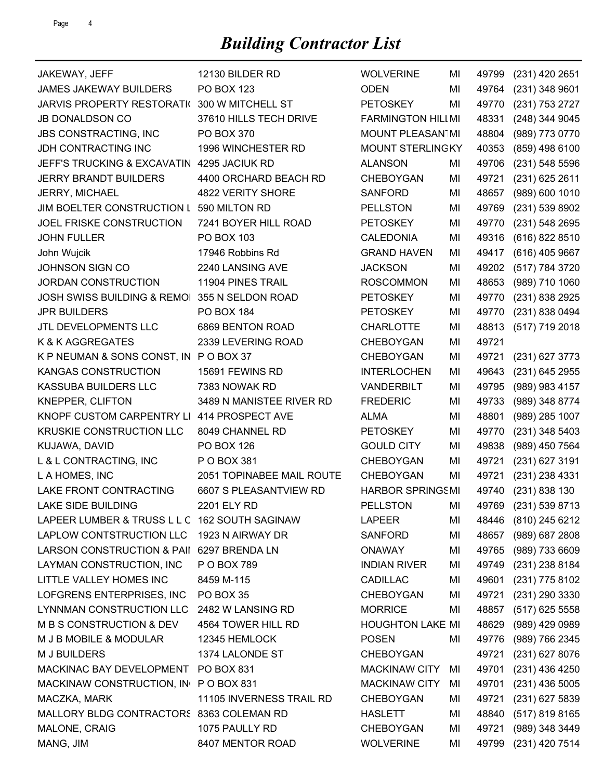| JAKEWAY, JEFF                                 | 12130 BILDER RD           | <b>WOLVERINE</b>        | MI | 49799 | (231) 420 2651       |
|-----------------------------------------------|---------------------------|-------------------------|----|-------|----------------------|
| <b>JAMES JAKEWAY BUILDERS</b>                 | PO BOX 123                | <b>ODEN</b>             | MI | 49764 | (231) 348 9601       |
| <b>JARVIS PROPERTY RESTORATI(</b>             | 300 W MITCHELL ST         | <b>PETOSKEY</b>         | MI | 49770 | (231) 753 2727       |
| <b>JB DONALDSON CO</b>                        | 37610 HILLS TECH DRIVE    | FARMINGTON HILLMI       |    | 48331 | (248) 344 9045       |
| <b>JBS CONSTRACTING, INC</b>                  | PO BOX 370                | MOUNT PLEASAN MI        |    | 48804 | (989) 773 0770       |
| JDH CONTRACTING INC                           | 1996 WINCHESTER RD        | MOUNT STERLINGKY        |    | 40353 | (859) 498 6100       |
| JEFF'S TRUCKING & EXCAVATIN                   | 4295 JACIUK RD            | <b>ALANSON</b>          | MI | 49706 | (231) 548 5596       |
| <b>JERRY BRANDT BUILDERS</b>                  | 4400 ORCHARD BEACH RD     | CHEBOYGAN               | MI | 49721 | $(231)$ 625 2611     |
| JERRY, MICHAEL                                | 4822 VERITY SHORE         | <b>SANFORD</b>          | MI | 48657 | (989) 600 1010       |
| JIM BOELTER CONSTRUCTION L 590 MILTON RD      |                           | <b>PELLSTON</b>         | MI | 49769 | (231) 539 8902       |
| JOEL FRISKE CONSTRUCTION                      | 7241 BOYER HILL ROAD      | <b>PETOSKEY</b>         | MI | 49770 | (231) 548 2695       |
| <b>JOHN FULLER</b>                            | PO BOX 103                | <b>CALEDONIA</b>        | MI | 49316 | (616) 822 8510       |
| John Wujcik                                   | 17946 Robbins Rd          | <b>GRAND HAVEN</b>      | MI | 49417 | (616) 405 9667       |
| <b>JOHNSON SIGN CO</b>                        | 2240 LANSING AVE          | <b>JACKSON</b>          | MI | 49202 | (517) 784 3720       |
| JORDAN CONSTRUCTION                           | 11904 PINES TRAIL         | <b>ROSCOMMON</b>        | MI | 48653 | (989) 710 1060       |
| JOSH SWISS BUILDING & REMOI 355 N SELDON ROAD |                           | <b>PETOSKEY</b>         | MI | 49770 | (231) 838 2925       |
| <b>JPR BUILDERS</b>                           | <b>PO BOX 184</b>         | <b>PETOSKEY</b>         | MI | 49770 | (231) 838 0494       |
| JTL DEVELOPMENTS LLC                          | 6869 BENTON ROAD          | <b>CHARLOTTE</b>        | MI | 48813 | (517) 719 2018       |
| K & K AGGREGATES                              | 2339 LEVERING ROAD        | <b>CHEBOYGAN</b>        | MI | 49721 |                      |
| K P NEUMAN & SONS CONST, IN P O BOX 37        |                           | <b>CHEBOYGAN</b>        | MI | 49721 | (231) 627 3773       |
| KANGAS CONSTRUCTION                           | 15691 FEWINS RD           | <b>INTERLOCHEN</b>      | MI | 49643 | (231) 645 2955       |
| KASSUBA BUILDERS LLC                          | 7383 NOWAK RD             | <b>VANDERBILT</b>       | MI | 49795 | (989) 983 4157       |
| <b>KNEPPER, CLIFTON</b>                       | 3489 N MANISTEE RIVER RD  | <b>FREDERIC</b>         | MI | 49733 | (989) 348 8774       |
| KNOPF CUSTOM CARPENTRY LI                     | 414 PROSPECT AVE          | <b>ALMA</b>             | MI | 48801 | (989) 285 1007       |
| KRUSKIE CONSTRUCTION LLC                      | 8049 CHANNEL RD           | <b>PETOSKEY</b>         | MI | 49770 | (231) 348 5403       |
| KUJAWA, DAVID                                 | PO BOX 126                | <b>GOULD CITY</b>       | MI | 49838 | (989) 450 7564       |
| L & L CONTRACTING, INC                        | P O BOX 381               | <b>CHEBOYGAN</b>        | MI | 49721 | (231) 627 3191       |
| L A HOMES, INC                                | 2051 TOPINABEE MAIL ROUTE | CHEBOYGAN               | MI | 49721 | (231) 238 4331       |
| LAKE FRONT CONTRACTING                        | 6607 S PLEASANTVIEW RD    | <b>HARBOR SPRINGSMI</b> |    | 49740 | (231) 838 130        |
| <b>LAKE SIDE BUILDING</b>                     | 2201 ELY RD               | <b>PELLSTON</b>         | MI | 49769 | (231) 539 8713       |
| LAPEER LUMBER & TRUSS L L C 162 SOUTH SAGINAW |                           | <b>LAPEER</b>           | MI |       | 48446 (810) 245 6212 |
| LAPLOW CONTSTRUCTION LLC                      | 1923 N AIRWAY DR          | <b>SANFORD</b>          | MI | 48657 | $(989)$ 687 2808     |
| LARSON CONSTRUCTION & PAII 6297 BRENDA LN     |                           | <b>ONAWAY</b>           | MI | 49765 | (989) 733 6609       |
| LAYMAN CONSTRUCTION, INC                      | P O BOX 789               | <b>INDIAN RIVER</b>     | MI | 49749 | (231) 238 8184       |
| LITTLE VALLEY HOMES INC                       | 8459 M-115                | <b>CADILLAC</b>         | MI | 49601 | (231) 775 8102       |
| LOFGRENS ENTERPRISES, INC                     | PO BOX 35                 | <b>CHEBOYGAN</b>        | MI | 49721 | (231) 290 3330       |
| LYNNMAN CONSTRUCTION LLC                      | 2482 W LANSING RD         | <b>MORRICE</b>          | MI | 48857 | $(517)$ 625 5558     |
| M B S CONSTRUCTION & DEV                      | 4564 TOWER HILL RD        | <b>HOUGHTON LAKE MI</b> |    | 48629 | (989) 429 0989       |
| M J B MOBILE & MODULAR                        | 12345 HEMLOCK             | <b>POSEN</b>            | MI | 49776 | (989) 766 2345       |
| M J BUILDERS                                  | 1374 LALONDE ST           | <b>CHEBOYGAN</b>        |    | 49721 | $(231)$ 627 8076     |
| MACKINAC BAY DEVELOPMENT                      | PO BOX 831                | <b>MACKINAW CITY</b>    | MI | 49701 | (231) 436 4250       |
| MACKINAW CONSTRUCTION, IN PO BOX 831          |                           | <b>MACKINAW CITY</b>    | MI | 49701 | $(231)$ 436 5005     |
| MACZKA, MARK                                  | 11105 INVERNESS TRAIL RD  | CHEBOYGAN               | MI | 49721 | (231) 627 5839       |
| MALLORY BLDG CONTRACTORS 8363 COLEMAN RD      |                           | <b>HASLETT</b>          | MI | 48840 | (517) 819 8165       |
| MALONE, CRAIG                                 | 1075 PAULLY RD            | CHEBOYGAN               | MI | 49721 | (989) 348 3449       |
| MANG, JIM                                     | 8407 MENTOR ROAD          | <b>WOLVERINE</b>        | MI | 49799 | (231) 420 7514       |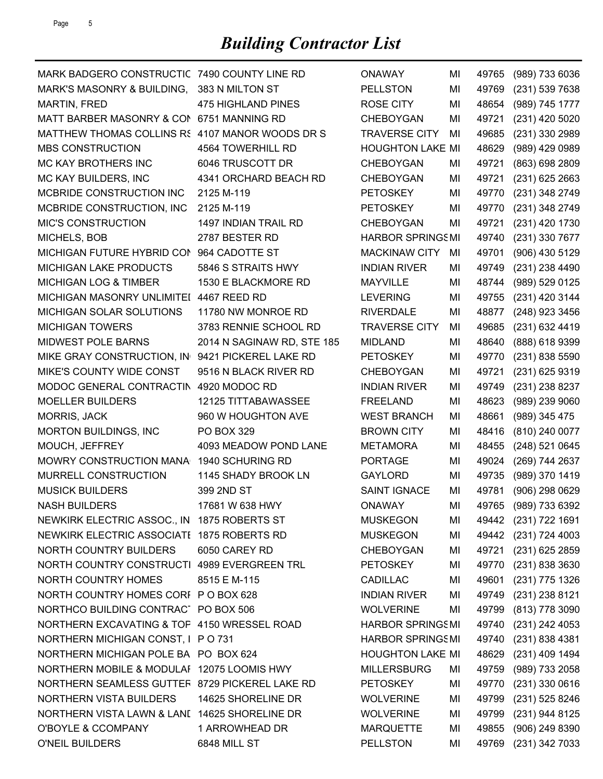| MARK BADGERO CONSTRUCTIC 7490 COUNTY LINE RD     |                            | <b>ONAWAY</b>           | MI | 49765 | (989) 733 6036       |
|--------------------------------------------------|----------------------------|-------------------------|----|-------|----------------------|
| MARK'S MASONRY & BUILDING,                       | 383 N MILTON ST            | <b>PELLSTON</b>         | MI | 49769 | (231) 539 7638       |
| MARTIN, FRED                                     | <b>475 HIGHLAND PINES</b>  | <b>ROSE CITY</b>        | MI | 48654 | (989) 745 1777       |
| MATT BARBER MASONRY & COM 6751 MANNING RD        |                            | <b>CHEBOYGAN</b>        | MI | 49721 | (231) 420 5020       |
| MATTHEW THOMAS COLLINS R5 4107 MANOR WOODS DR S  |                            | <b>TRAVERSE CITY</b>    | MI | 49685 | (231) 330 2989       |
| <b>MBS CONSTRUCTION</b>                          | 4564 TOWERHILL RD          | <b>HOUGHTON LAKE MI</b> |    | 48629 | (989) 429 0989       |
| <b>MC KAY BROTHERS INC</b>                       | 6046 TRUSCOTT DR           | <b>CHEBOYGAN</b>        | ΜI | 49721 | (863) 698 2809       |
| MC KAY BUILDERS, INC                             | 4341 ORCHARD BEACH RD      | <b>CHEBOYGAN</b>        | MI | 49721 | (231) 625 2663       |
| MCBRIDE CONSTRUCTION INC                         | 2125 M-119                 | <b>PETOSKEY</b>         | ΜI | 49770 | (231) 348 2749       |
| MCBRIDE CONSTRUCTION, INC                        | 2125 M-119                 | <b>PETOSKEY</b>         | MI | 49770 | (231) 348 2749       |
| <b>MIC'S CONSTRUCTION</b>                        | 1497 INDIAN TRAIL RD       | <b>CHEBOYGAN</b>        | MI | 49721 | (231) 420 1730       |
| MICHELS, BOB                                     | 2787 BESTER RD             | <b>HARBOR SPRINGSMI</b> |    | 49740 | (231) 330 7677       |
| MICHIGAN FUTURE HYBRID CON                       | 964 CADOTTE ST             | <b>MACKINAW CITY</b>    | MI | 49701 | (906) 430 5129       |
| <b>MICHIGAN LAKE PRODUCTS</b>                    | 5846 S STRAITS HWY         | <b>INDIAN RIVER</b>     | MI | 49749 | (231) 238 4490       |
| <b>MICHIGAN LOG &amp; TIMBER</b>                 | 1530 E BLACKMORE RD        | <b>MAYVILLE</b>         | MI | 48744 | (989) 529 0125       |
| MICHIGAN MASONRY UNLIMITEI 4467 REED RD          |                            | <b>LEVERING</b>         | MI | 49755 | (231) 420 3144       |
| MICHIGAN SOLAR SOLUTIONS                         | 11780 NW MONROE RD         | <b>RIVERDALE</b>        | MI | 48877 | (248) 923 3456       |
| <b>MICHIGAN TOWERS</b>                           | 3783 RENNIE SCHOOL RD      | <b>TRAVERSE CITY</b>    | MI | 49685 | (231) 632 4419       |
| MIDWEST POLE BARNS                               | 2014 N SAGINAW RD, STE 185 | <b>MIDLAND</b>          | MI | 48640 | (888) 618 9399       |
| MIKE GRAY CONSTRUCTION, IN 9421 PICKEREL LAKE RD |                            | <b>PETOSKEY</b>         | MI | 49770 | (231) 838 5590       |
| MIKE'S COUNTY WIDE CONST                         | 9516 N BLACK RIVER RD      | <b>CHEBOYGAN</b>        | MI | 49721 | (231) 625 9319       |
| MODOC GENERAL CONTRACTIN 4920 MODOC RD           |                            | <b>INDIAN RIVER</b>     | MI | 49749 | (231) 238 8237       |
| <b>MOELLER BUILDERS</b>                          | 12125 TITTABAWASSEE        | <b>FREELAND</b>         | MI | 48623 | (989) 239 9060       |
| MORRIS, JACK                                     | 960 W HOUGHTON AVE         | <b>WEST BRANCH</b>      | MI | 48661 | (989) 345 475        |
| <b>MORTON BUILDINGS, INC</b>                     | PO BOX 329                 | <b>BROWN CITY</b>       | MI | 48416 | (810) 240 0077       |
| MOUCH, JEFFREY                                   | 4093 MEADOW POND LANE      | <b>METAMORA</b>         | MI | 48455 | (248) 521 0645       |
| MOWRY CONSTRUCTION MANA                          | 1940 SCHURING RD           | <b>PORTAGE</b>          | MI | 49024 | (269) 744 2637       |
| MURRELL CONSTRUCTION                             | 1145 SHADY BROOK LN        | <b>GAYLORD</b>          | MI | 49735 | (989) 370 1419       |
| <b>MUSICK BUILDERS</b>                           | 399 2ND ST                 | <b>SAINT IGNACE</b>     | MI | 49781 | (906) 298 0629       |
| <b>NASH BUILDERS</b>                             | 17681 W 638 HWY            | <b>ONAWAY</b>           | MI | 49765 | (989) 733 6392       |
| NEWKIRK ELECTRIC ASSOC., IN 1875 ROBERTS ST      |                            | <b>MUSKEGON</b>         | МI |       | 49442 (231) 722 1691 |
| NEWKIRK ELECTRIC ASSOCIATE 1875 ROBERTS RD       |                            | <b>MUSKEGON</b>         | MI |       | 49442 (231) 724 4003 |
| NORTH COUNTRY BUILDERS                           | 6050 CAREY RD              | <b>CHEBOYGAN</b>        | MI | 49721 | $(231)$ 625 2859     |
| NORTH COUNTRY CONSTRUCTI 4989 EVERGREEN TRL      |                            | <b>PETOSKEY</b>         | MI | 49770 | (231) 838 3630       |
| NORTH COUNTRY HOMES                              | 8515 E M-115               | <b>CADILLAC</b>         | MI | 49601 | (231) 775 1326       |
| NORTH COUNTRY HOMES CORI P O BOX 628             |                            | <b>INDIAN RIVER</b>     | MI | 49749 | (231) 238 8121       |
| NORTHCO BUILDING CONTRACT PO BOX 506             |                            | <b>WOLVERINE</b>        | MI |       | 49799 (813) 778 3090 |
| NORTHERN EXCAVATING & TOF 4150 WRESSEL ROAD      |                            | <b>HARBOR SPRINGSMI</b> |    | 49740 | (231) 242 4053       |
| NORTHERN MICHIGAN CONST, I P O 731               |                            | <b>HARBOR SPRINGSMI</b> |    |       | 49740 (231) 838 4381 |
| NORTHERN MICHIGAN POLE BA PO BOX 624             |                            | <b>HOUGHTON LAKE MI</b> |    | 48629 | (231) 409 1494       |
| NORTHERN MOBILE & MODULAI 12075 LOOMIS HWY       |                            | <b>MILLERSBURG</b>      | MI |       | 49759 (989) 733 2058 |
| NORTHERN SEAMLESS GUTTEF 8729 PICKEREL LAKE RD   |                            | <b>PETOSKEY</b>         | MI | 49770 | $(231)$ 330 0616     |
| NORTHERN VISTA BUILDERS                          | 14625 SHORELINE DR         | <b>WOLVERINE</b>        | MI | 49799 | (231) 525 8246       |
| NORTHERN VISTA LAWN & LANI 14625 SHORELINE DR    |                            | <b>WOLVERINE</b>        | MI | 49799 | (231) 944 8125       |
| O'BOYLE & CCOMPANY                               | 1 ARROWHEAD DR             | <b>MARQUETTE</b>        | MI |       | 49855 (906) 249 8390 |
| O'NEIL BUILDERS                                  | 6848 MILL ST               | <b>PELLSTON</b>         | ΜI |       | 49769 (231) 342 7033 |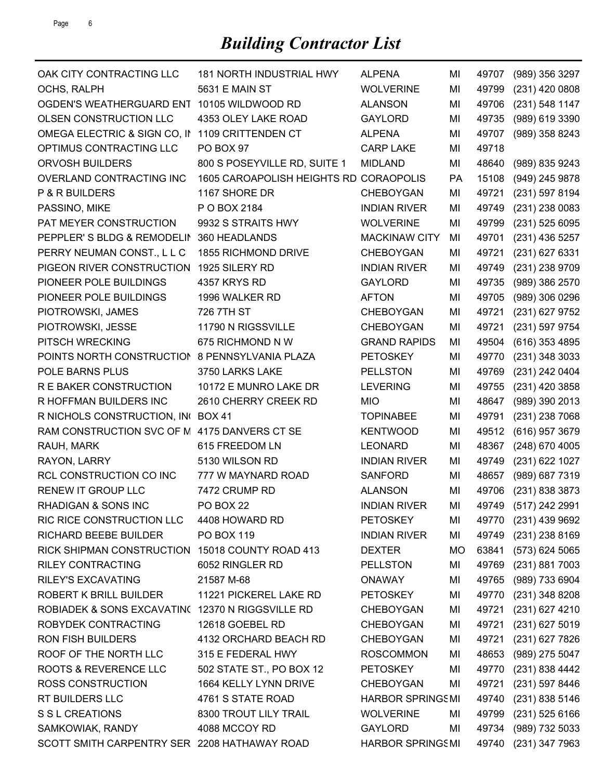## *Building Contractor List*

| OAK CITY CONTRACTING LLC                         | 181 NORTH INDUSTRIAL HWY               | <b>ALPENA</b>           | MI  | 49707 | (989) 356 3297       |
|--------------------------------------------------|----------------------------------------|-------------------------|-----|-------|----------------------|
| OCHS, RALPH                                      | <b>5631 E MAIN ST</b>                  | <b>WOLVERINE</b>        | MI  | 49799 | (231) 420 0808       |
| OGDEN'S WEATHERGUARD ENT                         | 10105 WILDWOOD RD                      | <b>ALANSON</b>          | MI  | 49706 | (231) 548 1147       |
| OLSEN CONSTRUCTION LLC                           | 4353 OLEY LAKE ROAD                    | <b>GAYLORD</b>          | ΜI  | 49735 | (989) 619 3390       |
| OMEGA ELECTRIC & SIGN CO, IN                     | 1109 CRITTENDEN CT                     | <b>ALPENA</b>           | MI  | 49707 | (989) 358 8243       |
| OPTIMUS CONTRACTING LLC                          | PO BOX 97                              | <b>CARP LAKE</b>        | MI  | 49718 |                      |
| <b>ORVOSH BUILDERS</b>                           | 800 S POSEYVILLE RD, SUITE 1           | <b>MIDLAND</b>          | MI  | 48640 | (989) 835 9243       |
| OVERLAND CONTRACTING INC                         | 1605 CAROAPOLISH HEIGHTS RD CORAOPOLIS |                         | PA  | 15108 | (949) 245 9878       |
| P & R BUILDERS                                   | 1167 SHORE DR                          | <b>CHEBOYGAN</b>        | ΜI  | 49721 | (231) 597 8194       |
| PASSINO, MIKE                                    | P O BOX 2184                           | <b>INDIAN RIVER</b>     | MI  | 49749 | (231) 238 0083       |
| PAT MEYER CONSTRUCTION                           | 9932 S STRAITS HWY                     | <b>WOLVERINE</b>        | MI  | 49799 | $(231)$ 525 6095     |
| PEPPLER'S BLDG & REMODELIN                       | 360 HEADLANDS                          | <b>MACKINAW CITY</b>    | ΜI  | 49701 | (231) 436 5257       |
| PERRY NEUMAN CONST., L L C                       | 1855 RICHMOND DRIVE                    | <b>CHEBOYGAN</b>        | MI  | 49721 | (231) 627 6331       |
| PIGEON RIVER CONSTRUCTION                        | 1925 SILERY RD                         | <b>INDIAN RIVER</b>     | MI  | 49749 | (231) 238 9709       |
| PIONEER POLE BUILDINGS                           | 4357 KRYS RD                           | <b>GAYLORD</b>          | ΜI  | 49735 | (989) 386 2570       |
| PIONEER POLE BUILDINGS                           | 1996 WALKER RD                         | <b>AFTON</b>            | ΜI  | 49705 | (989) 306 0296       |
| PIOTROWSKI, JAMES                                | 726 7TH ST                             | <b>CHEBOYGAN</b>        | ΜI  | 49721 | (231) 627 9752       |
| PIOTROWSKI, JESSE                                | 11790 N RIGSSVILLE                     | <b>CHEBOYGAN</b>        | MI  | 49721 | (231) 597 9754       |
| PITSCH WRECKING                                  | 675 RICHMOND N W                       | <b>GRAND RAPIDS</b>     | MI  | 49504 | (616) 353 4895       |
| POINTS NORTH CONSTRUCTION 8 PENNSYLVANIA PLAZA   |                                        | <b>PETOSKEY</b>         | ΜI  | 49770 | (231) 348 3033       |
| POLE BARNS PLUS                                  | 3750 LARKS LAKE                        | <b>PELLSTON</b>         | MI  | 49769 | (231) 242 0404       |
| R E BAKER CONSTRUCTION                           | 10172 E MUNRO LAKE DR                  | <b>LEVERING</b>         | MI  | 49755 | (231) 420 3858       |
| R HOFFMAN BUILDERS INC                           | 2610 CHERRY CREEK RD                   | <b>MIO</b>              | MI  | 48647 | (989) 390 2013       |
| R NICHOLS CONSTRUCTION, INC BOX 41               |                                        | <b>TOPINABEE</b>        | MI  | 49791 | (231) 238 7068       |
| RAM CONSTRUCTION SVC OF M 4175 DANVERS CT SE     |                                        | <b>KENTWOOD</b>         | MI  | 49512 | (616) 957 3679       |
| RAUH, MARK                                       | 615 FREEDOM LN                         | <b>LEONARD</b>          | MI  | 48367 | (248) 670 4005       |
| RAYON, LARRY                                     | 5130 WILSON RD                         | <b>INDIAN RIVER</b>     | MI  | 49749 | (231) 622 1027       |
| RCL CONSTRUCTION CO INC                          | 777 W MAYNARD ROAD                     | <b>SANFORD</b>          | MI  | 48657 | (989) 687 7319       |
| RENEW IT GROUP LLC                               | 7472 CRUMP RD                          | <b>ALANSON</b>          | MI  | 49706 | (231) 838 3873       |
| RHADIGAN & SONS INC                              | <b>PO BOX 22</b>                       | <b>INDIAN RIVER</b>     | MI  |       | 49749 (517) 242 2991 |
| RIC RICE CONSTRUCTION LLC                        | 4408 HOWARD RD                         | <b>PETOSKEY</b>         | МI  |       | 49770 (231) 439 9692 |
| RICHARD BEEBE BUILDER                            | PO BOX 119                             | <b>INDIAN RIVER</b>     | MI  |       | 49749 (231) 238 8169 |
| RICK SHIPMAN CONSTRUCTION 15018 COUNTY ROAD 413  |                                        | <b>DEXTER</b>           | MO. | 63841 | $(573)$ 624 5065     |
| <b>RILEY CONTRACTING</b>                         | 6052 RINGLER RD                        | <b>PELLSTON</b>         | MI  | 49769 | (231) 881 7003       |
| <b>RILEY'S EXCAVATING</b>                        | 21587 M-68                             | <b>ONAWAY</b>           | MI  | 49765 | (989) 733 6904       |
| <b>ROBERT K BRILL BUILDER</b>                    | 11221 PICKEREL LAKE RD                 | <b>PETOSKEY</b>         | MI  | 49770 | (231) 348 8208       |
| ROBIADEK & SONS EXCAVATIN( 12370 N RIGGSVILLE RD |                                        | <b>CHEBOYGAN</b>        | MI  | 49721 | (231) 627 4210       |
| ROBYDEK CONTRACTING                              | 12618 GOEBEL RD                        | <b>CHEBOYGAN</b>        | MI  | 49721 | (231) 627 5019       |
| <b>RON FISH BUILDERS</b>                         | 4132 ORCHARD BEACH RD                  | <b>CHEBOYGAN</b>        | MI  | 49721 | (231) 627 7826       |
| ROOF OF THE NORTH LLC                            | 315 E FEDERAL HWY                      | <b>ROSCOMMON</b>        | MI  | 48653 | (989) 275 5047       |
| ROOTS & REVERENCE LLC                            | 502 STATE ST., PO BOX 12               | <b>PETOSKEY</b>         | MI  | 49770 | (231) 838 4442       |
| <b>ROSS CONSTRUCTION</b>                         | 1664 KELLY LYNN DRIVE                  | <b>CHEBOYGAN</b>        | MI  | 49721 | (231) 597 8446       |
| RT BUILDERS LLC                                  | 4761 S STATE ROAD                      | <b>HARBOR SPRINGSMI</b> |     | 49740 | (231) 838 5146       |
| S S L CREATIONS                                  | 8300 TROUT LILY TRAIL                  | <b>WOLVERINE</b>        | MI  | 49799 | $(231)$ 525 6166     |
| SAMKOWIAK, RANDY                                 | 4088 MCCOY RD                          | <b>GAYLORD</b>          | MI  | 49734 | (989) 732 5033       |
| SCOTT SMITH CARPENTRY SER 2208 HATHAWAY ROAD     |                                        | <b>HARBOR SPRINGSMI</b> |     | 49740 | (231) 347 7963       |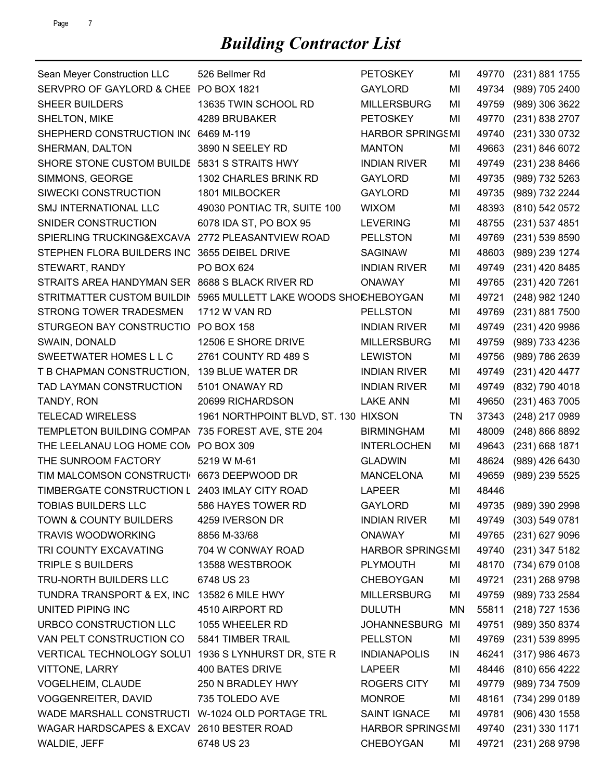| Sean Meyer Construction LLC                     | 526 Bellmer Rd                       | <b>PETOSKEY</b>         | MI | 49770 | (231) 881 1755       |
|-------------------------------------------------|--------------------------------------|-------------------------|----|-------|----------------------|
| SERVPRO OF GAYLORD & CHEE PO BOX 1821           |                                      | <b>GAYLORD</b>          | MI | 49734 | (989) 705 2400       |
| <b>SHEER BUILDERS</b>                           | 13635 TWIN SCHOOL RD                 | <b>MILLERSBURG</b>      | MI | 49759 | (989) 306 3622       |
| SHELTON, MIKE                                   | 4289 BRUBAKER                        | <b>PETOSKEY</b>         | MI | 49770 | (231) 838 2707       |
| SHEPHERD CONSTRUCTION IN(6469 M-119             |                                      | <b>HARBOR SPRINGSMI</b> |    | 49740 | (231) 330 0732       |
| SHERMAN, DALTON                                 | 3890 N SEELEY RD                     | <b>MANTON</b>           | MI | 49663 | (231) 846 6072       |
| SHORE STONE CUSTOM BUILDE                       | 5831 S STRAITS HWY                   | <b>INDIAN RIVER</b>     | MI | 49749 | (231) 238 8466       |
| SIMMONS, GEORGE                                 | 1302 CHARLES BRINK RD                | <b>GAYLORD</b>          | MI | 49735 | (989) 732 5263       |
| SIWECKI CONSTRUCTION                            | 1801 MILBOCKER                       | <b>GAYLORD</b>          | MI | 49735 | (989) 732 2244       |
| <b>SMJ INTERNATIONAL LLC</b>                    | 49030 PONTIAC TR, SUITE 100          | <b>WIXOM</b>            | MI | 48393 | (810) 542 0572       |
| SNIDER CONSTRUCTION                             | 6078 IDA ST, PO BOX 95               | <b>LEVERING</b>         | MI | 48755 | (231) 537 4851       |
| SPIERLING TRUCKING&EXCAVA                       | 2772 PLEASANTVIEW ROAD               | <b>PELLSTON</b>         | MI | 49769 | (231) 539 8590       |
| STEPHEN FLORA BUILDERS INC                      | 3655 DEIBEL DRIVE                    | <b>SAGINAW</b>          | MI | 48603 | (989) 239 1274       |
| STEWART, RANDY                                  | PO BOX 624                           | <b>INDIAN RIVER</b>     | MI | 49749 | (231) 420 8485       |
| STRAITS AREA HANDYMAN SER                       | 8688 S BLACK RIVER RD                | <b>ONAWAY</b>           | MI | 49765 | (231) 420 7261       |
| STRITMATTER CUSTOM BUILDIN                      | 5965 MULLETT LAKE WOODS SHOCHEBOYGAN |                         | MI | 49721 | (248) 982 1240       |
| STRONG TOWER TRADESMEN                          | 1712 W VAN RD                        | <b>PELLSTON</b>         | MI | 49769 | (231) 881 7500       |
| STURGEON BAY CONSTRUCTIO                        | <b>PO BOX 158</b>                    | <b>INDIAN RIVER</b>     | MI | 49749 | (231) 420 9986       |
| SWAIN, DONALD                                   | 12506 E SHORE DRIVE                  | <b>MILLERSBURG</b>      | MI | 49759 | (989) 733 4236       |
| SWEETWATER HOMES L L C                          | 2761 COUNTY RD 489 S                 | <b>LEWISTON</b>         | MI | 49756 | (989) 786 2639       |
| T B CHAPMAN CONSTRUCTION,                       | 139 BLUE WATER DR                    | <b>INDIAN RIVER</b>     | MI | 49749 | (231) 420 4477       |
| TAD LAYMAN CONSTRUCTION                         | 5101 ONAWAY RD                       | <b>INDIAN RIVER</b>     | MI | 49749 | (832) 790 4018       |
| TANDY, RON                                      | 20699 RICHARDSON                     | <b>LAKE ANN</b>         | MI | 49650 | (231) 463 7005       |
| <b>TELECAD WIRELESS</b>                         | 1961 NORTHPOINT BLVD, ST. 130 HIXSON |                         | TN | 37343 | (248) 217 0989       |
| TEMPLETON BUILDING COMPAN                       | 735 FOREST AVE, STE 204              | <b>BIRMINGHAM</b>       | MI | 48009 | (248) 866 8892       |
| THE LEELANAU LOG HOME CON PO BOX 309            |                                      | <b>INTERLOCHEN</b>      | MI | 49643 | (231) 668 1871       |
| THE SUNROOM FACTORY                             | 5219 W M-61                          | <b>GLADWIN</b>          | MI | 48624 | (989) 426 6430       |
| TIM MALCOMSON CONSTRUCTI                        | 6673 DEEPWOOD DR                     | <b>MANCELONA</b>        | MI | 49659 | (989) 239 5525       |
| TIMBERGATE CONSTRUCTION L 2403 IMLAY CITY ROAD  |                                      | <b>LAPEER</b>           | MI | 48446 |                      |
| <b>TOBIAS BUILDERS LLC</b>                      | 586 HAYES TOWER RD                   | <b>GAYLORD</b>          | MI |       | 49735 (989) 390 2998 |
| <b>TOWN &amp; COUNTY BUILDERS</b>               | 4259 IVERSON DR                      | <b>INDIAN RIVER</b>     | MI |       | 49749 (303) 549 0781 |
| <b>TRAVIS WOODWORKING</b>                       | 8856 M-33/68                         | <b>ONAWAY</b>           | MI | 49765 | $(231)$ 627 9096     |
| TRI COUNTY EXCAVATING                           | 704 W CONWAY ROAD                    | <b>HARBOR SPRINGSMI</b> |    |       | 49740 (231) 347 5182 |
| TRIPLE S BUILDERS                               | 13588 WESTBROOK                      | <b>PLYMOUTH</b>         | MI | 48170 | (734) 679 0108       |
| TRU-NORTH BUILDERS LLC                          | 6748 US 23                           | <b>CHEBOYGAN</b>        | MI | 49721 | (231) 268 9798       |
| TUNDRA TRANSPORT & EX, INC                      | 13582 6 MILE HWY                     | <b>MILLERSBURG</b>      | MI | 49759 | (989) 733 2584       |
| UNITED PIPING INC                               | 4510 AIRPORT RD                      | <b>DULUTH</b>           | ΜN | 55811 | (218) 727 1536       |
| URBCO CONSTRUCTION LLC                          | 1055 WHEELER RD                      | JOHANNESBURG MI         |    | 49751 | (989) 350 8374       |
| VAN PELT CONSTRUCTION CO                        | 5841 TIMBER TRAIL                    | <b>PELLSTON</b>         | MI | 49769 | $(231)$ 539 8995     |
| VERTICAL TECHNOLOGY SOLUT                       | 1936 S LYNHURST DR, STE R            | <b>INDIANAPOLIS</b>     | IN | 46241 | (317) 986 4673       |
| <b>VITTONE, LARRY</b>                           | 400 BATES DRIVE                      | <b>LAPEER</b>           | MI | 48446 | (810) 656 4222       |
| VOGELHEIM, CLAUDE                               | 250 N BRADLEY HWY                    | <b>ROGERS CITY</b>      | MI | 49779 | (989) 734 7509       |
| <b>VOGGENREITER, DAVID</b>                      | 735 TOLEDO AVE                       | <b>MONROE</b>           | MI | 48161 | (734) 299 0189       |
| WADE MARSHALL CONSTRUCTI W-1024 OLD PORTAGE TRL |                                      | <b>SAINT IGNACE</b>     | MI | 49781 | $(906)$ 430 1558     |
| WAGAR HARDSCAPES & EXCAV 2610 BESTER ROAD       |                                      | <b>HARBOR SPRINGSMI</b> |    | 49740 | $(231)$ 330 1171     |
| WALDIE, JEFF                                    | 6748 US 23                           | <b>CHEBOYGAN</b>        | MI | 49721 | (231) 268 9798       |